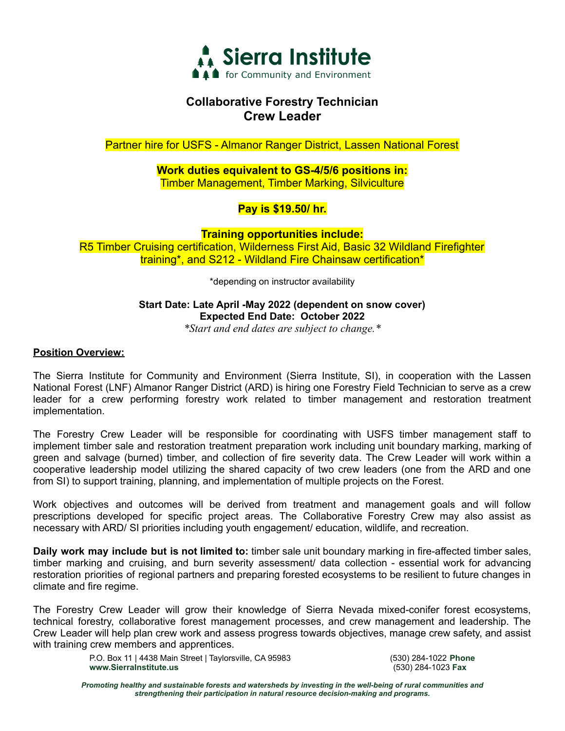

# **Collaborative Forestry Technician Crew Leader**

Partner hire for USFS - Almanor Ranger District, Lassen National Forest

**Work duties equivalent to GS-4/5/6 positions in:** Timber Management, Timber Marking, Silviculture

## **Pay is \$19.50/ hr.**

**Training opportunities include:** R5 Timber Cruising certification, Wilderness First Aid, Basic 32 Wildland Firefighter training\*, and S212 - Wildland Fire Chainsaw certification\*

\*depending on instructor availability

## **Start Date: Late April -May 2022 (dependent on snow cover) Expected End Date: October 2022**

*\*Start and end dates are subject to change.\**

## **Position Overview:**

The Sierra Institute for Community and Environment (Sierra Institute, SI), in cooperation with the Lassen National Forest (LNF) Almanor Ranger District (ARD) is hiring one Forestry Field Technician to serve as a crew leader for a crew performing forestry work related to timber management and restoration treatment implementation.

The Forestry Crew Leader will be responsible for coordinating with USFS timber management staff to implement timber sale and restoration treatment preparation work including unit boundary marking, marking of green and salvage (burned) timber, and collection of fire severity data. The Crew Leader will work within a cooperative leadership model utilizing the shared capacity of two crew leaders (one from the ARD and one from SI) to support training, planning, and implementation of multiple projects on the Forest.

Work objectives and outcomes will be derived from treatment and management goals and will follow prescriptions developed for specific project areas. The Collaborative Forestry Crew may also assist as necessary with ARD/ SI priorities including youth engagement/ education, wildlife, and recreation.

**Daily work may include but is not limited to:** timber sale unit boundary marking in fire-affected timber sales, timber marking and cruising, and burn severity assessment/ data collection - essential work for advancing restoration priorities of regional partners and preparing forested ecosystems to be resilient to future changes in climate and fire regime.

The Forestry Crew Leader will grow their knowledge of Sierra Nevada mixed-conifer forest ecosystems, technical forestry, collaborative forest management processes, and crew management and leadership. The Crew Leader will help plan crew work and assess progress towards objectives, manage crew safety, and assist with training crew members and apprentices.

> P.O. Box 11 | 4438 Main Street | Taylorsville, CA 95983 (530) 284-1022 **Phone www.SierraInstitute.us** (530) 284-1023 **Fax**

*Promoting healthy and sustainable forests and watersheds by investing in the well-being of rural communities and strengthening their participation in natural resource decision-making and programs.*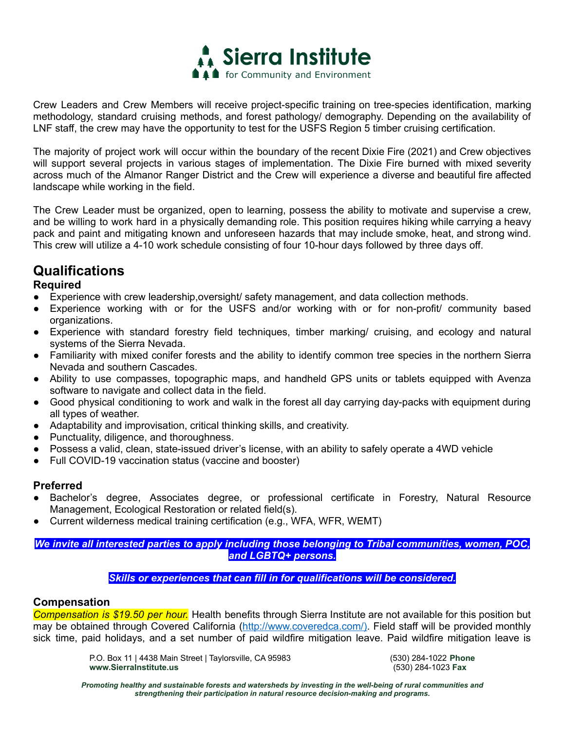

Crew Leaders and Crew Members will receive project-specific training on tree-species identification, marking methodology, standard cruising methods, and forest pathology/ demography. Depending on the availability of LNF staff, the crew may have the opportunity to test for the USFS Region 5 timber cruising certification.

The majority of project work will occur within the boundary of the recent Dixie Fire (2021) and Crew objectives will support several projects in various stages of implementation. The Dixie Fire burned with mixed severity across much of the Almanor Ranger District and the Crew will experience a diverse and beautiful fire affected landscape while working in the field.

The Crew Leader must be organized, open to learning, possess the ability to motivate and supervise a crew, and be willing to work hard in a physically demanding role. This position requires hiking while carrying a heavy pack and paint and mitigating known and unforeseen hazards that may include smoke, heat, and strong wind. This crew will utilize a 4-10 work schedule consisting of four 10-hour days followed by three days off.

# **Qualifications**

## **Required**

- Experience with crew leadership,oversight/ safety management, and data collection methods.
- Experience working with or for the USFS and/or working with or for non-profit/ community based organizations.
- Experience with standard forestry field techniques, timber marking/ cruising, and ecology and natural systems of the Sierra Nevada.
- Familiarity with mixed conifer forests and the ability to identify common tree species in the northern Sierra Nevada and southern Cascades.
- Ability to use compasses, topographic maps, and handheld GPS units or tablets equipped with Avenza software to navigate and collect data in the field.
- Good physical conditioning to work and walk in the forest all day carrying day-packs with equipment during all types of weather.
- Adaptability and improvisation, critical thinking skills, and creativity.
- Punctuality, diligence, and thoroughness.
- Possess a valid, clean, state-issued driver's license, with an ability to safely operate a 4WD vehicle
- Full COVID-19 vaccination status (vaccine and booster)

#### **Preferred**

- Bachelor's degree, Associates degree, or professional certificate in Forestry, Natural Resource Management, Ecological Restoration or related field(s).
- Current wilderness medical training certification (e.g., WFA, WFR, WEMT)

*We invite all interested parties to apply including those belonging to Tribal communities, women, POC, and LGBTQ+ persons.*

#### *Skills or experiences that can fill in for qualifications will be considered.*

#### **Compensation**

*Compensation is \$19.50 per hour.* Health benefits through Sierra Institute are not available for this position but may be obtained through Covered California (http://www.coveredca.com/). Field staff will be provided monthly sick time, paid holidays, and a set number of paid wildfire mitigation leave. Paid wildfire mitigation leave is

> P.O. Box 11 | 4438 Main Street | Taylorsville, CA 95983 (530) 284-1022 **Phone www.SierraInstitute.us** (530) 284-1023 **Fax**

*Promoting healthy and sustainable forests and watersheds by investing in the well-being of rural communities and strengthening their participation in natural resource decision-making and programs.*